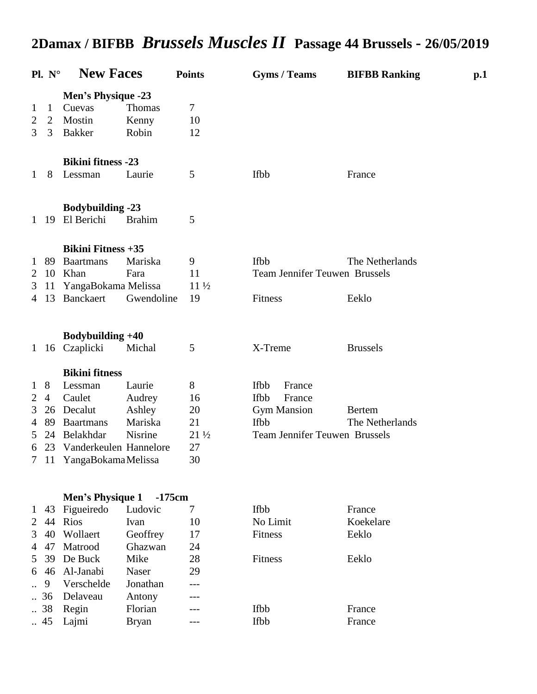|                           | $P1. N^{\circ}$ | <b>New Faces</b>                |               | <b>Points</b>   | <b>Gyms / Teams</b>                  | <b>BIFBB Ranking</b> | $\mathbf{p.1}$ |
|---------------------------|-----------------|---------------------------------|---------------|-----------------|--------------------------------------|----------------------|----------------|
| <b>Men's Physique -23</b> |                 |                                 |               |                 |                                      |                      |                |
| 1                         | $\mathbf{1}$    | Cuevas                          | <b>Thomas</b> | 7               |                                      |                      |                |
| 2                         | 2               | Mostin                          | Kenny         | 10              |                                      |                      |                |
| 3                         | 3               | <b>Bakker</b>                   | Robin         | 12              |                                      |                      |                |
|                           |                 | <b>Bikini fitness -23</b>       |               |                 |                                      |                      |                |
| $\mathbf{1}$              | 8               | Lessman                         | Laurie        | 5               | Ifbb                                 | France               |                |
|                           |                 | <b>Bodybuilding -23</b>         |               |                 |                                      |                      |                |
| $\mathbf{1}$              | 19              | El Berichi                      | <b>Brahim</b> | 5               |                                      |                      |                |
|                           |                 | <b>Bikini Fitness +35</b>       |               |                 |                                      |                      |                |
| $\perp$                   | 89              | <b>Baartmans</b>                | Mariska       | 9               | <b>Ifbb</b>                          | The Netherlands      |                |
| 2                         | 10              | Khan                            | Fara          | 11              | <b>Team Jennifer Teuwen Brussels</b> |                      |                |
| 3                         | 11              | YangaBokama Melissa             |               | $11\frac{1}{2}$ |                                      |                      |                |
| 4                         | 13              | Banckaert                       | Gwendoline    | 19              | Fitness                              | Eeklo                |                |
|                           |                 | Bodybuilding +40                |               |                 |                                      |                      |                |
| $\mathbf{1}$              | 16              | Czaplicki                       | Michal        | 5               | X-Treme                              | <b>Brussels</b>      |                |
|                           |                 | <b>Bikini</b> fitness           |               |                 |                                      |                      |                |
| 1                         | 8               | Lessman                         | Laurie        | 8               | <b>Ifbb</b><br>France                |                      |                |
| 2                         | 4               | Caulet                          | Audrey        | 16              | <b>Ifbb</b><br>France                |                      |                |
| 3                         | 26              | Decalut                         | Ashley        | 20              | <b>Gym Mansion</b>                   | <b>Bertem</b>        |                |
| 4                         | 89              | <b>Baartmans</b>                | Mariska       | 21              | <b>Ifbb</b>                          | The Netherlands      |                |
| 5                         | 24              | Belakhdar                       | Nisrine       | $21\frac{1}{2}$ | <b>Team Jennifer Teuwen Brussels</b> |                      |                |
| 6                         |                 | 23 Vanderkeulen Hannelore<br>27 |               |                 |                                      |                      |                |
|                           |                 | 7 11 YangaBokamaMelissa         |               | 30              |                                      |                      |                |
|                           |                 | Men's Physique 1                | $-175cm$      |                 |                                      |                      |                |
| 1                         | 43              | Figueiredo                      | Ludovic       | 7               | Ifbb                                 | France               |                |
| 2                         | 44              | <b>Rios</b>                     | Ivan          | 10              | No Limit                             | Koekelare            |                |
| 3                         | 40              | Wollaert                        | Geoffrey      | 17              | Fitness                              | Eeklo                |                |
| 4                         | 47              | Matrood                         | Ghazwan       | 24              |                                      |                      |                |
| 5                         | 39              | De Buck                         | Mike          | 28              | Fitness                              | Eeklo                |                |
| 6                         | 46              | Al-Janabi                       | Naser         | 29              |                                      |                      |                |
|                           | 9               | Verschelde                      | Jonathan      |                 |                                      |                      |                |
|                           | 36              | Delaveau                        | Antony        |                 |                                      |                      |                |
|                           | 38              | Regin                           | Florian       |                 | Ifbb                                 | France               |                |
|                           | .45             | Lajmi                           | <b>Bryan</b>  |                 | Ifbb                                 | France               |                |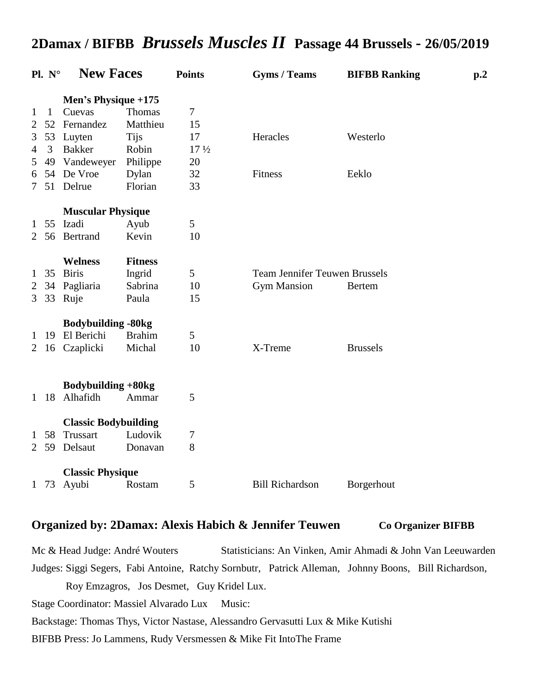| $P1. N^{\circ}$ |              | <b>New Faces</b>            |                | <b>Points</b>   | <b>Gyms / Teams</b>                  | <b>BIFBB Ranking</b> | p.2 |
|-----------------|--------------|-----------------------------|----------------|-----------------|--------------------------------------|----------------------|-----|
|                 |              | Men's Physique +175         |                |                 |                                      |                      |     |
| $\mathbf{1}$    | $\mathbf{1}$ | Cuevas                      | <b>Thomas</b>  | 7               |                                      |                      |     |
| $\overline{2}$  | 52           | Fernandez                   | Matthieu       | 15              |                                      |                      |     |
| 3               | 53           | Luyten                      | <b>Tijs</b>    | 17              | Heracles                             | Westerlo             |     |
| $\overline{4}$  | 3            | <b>Bakker</b>               | Robin          | $17\frac{1}{2}$ |                                      |                      |     |
| 5               |              | 49 Vandeweyer               | Philippe       | 20              |                                      |                      |     |
| 6               |              | 54 De Vroe                  | Dylan          | 32              | Fitness                              | Eeklo                |     |
| 7               |              | 51 Delrue                   | Florian        | 33              |                                      |                      |     |
|                 |              | <b>Muscular Physique</b>    |                |                 |                                      |                      |     |
| 1               |              | 55 Izadi                    | Ayub           | 5               |                                      |                      |     |
| 2               | 56           | Bertrand                    | Kevin          | 10              |                                      |                      |     |
|                 |              | <b>Welness</b>              | <b>Fitness</b> |                 |                                      |                      |     |
| $\mathbf{1}$    | 35           | <b>Biris</b>                | Ingrid         | 5               | <b>Team Jennifer Teuwen Brussels</b> |                      |     |
| $\overline{2}$  | 34           | Pagliaria                   | Sabrina        | 10              | <b>Gym Mansion</b>                   | <b>Bertem</b>        |     |
| 3               | 33           | Ruje                        | Paula          | 15              |                                      |                      |     |
|                 |              | <b>Bodybuilding -80kg</b>   |                |                 |                                      |                      |     |
| 1               | 19           | El Berichi                  | <b>Brahim</b>  | 5               |                                      |                      |     |
| $\overline{2}$  |              | 16 Czaplicki                | Michal         | 10              | X-Treme                              | <b>Brussels</b>      |     |
|                 |              |                             |                |                 |                                      |                      |     |
|                 |              | Bodybuilding +80kg          |                |                 |                                      |                      |     |
| 1               | 18           | Alhafidh                    | Ammar          | 5               |                                      |                      |     |
|                 |              | <b>Classic Bodybuilding</b> |                |                 |                                      |                      |     |
| 1               | 58           | Trussart                    | Ludovik        | 7               |                                      |                      |     |
| 2               | 59           | Delsaut                     | Donavan        | 8               |                                      |                      |     |
|                 |              | <b>Classic Physique</b>     |                |                 |                                      |                      |     |
|                 |              | 1 73 Ayubi                  | Rostam         | 5               | <b>Bill Richardson</b>               | Borgerhout           |     |

### **Organized by: 2Damax: Alexis Habich & Jennifer Teuwen Co Organizer BIFBB**

Mc & Head Judge: André Wouters Statisticians: An Vinken, Amir Ahmadi & John Van Leeuwarden Judges: Siggi Segers, Fabi Antoine, Ratchy Sornbutr, Patrick Alleman, Johnny Boons, Bill Richardson, Roy Emzagros, Jos Desmet, Guy Kridel Lux. Stage Coordinator: Massiel Alvarado Lux Music:

Backstage: Thomas Thys, Victor Nastase, Alessandro Gervasutti Lux & Mike Kutishi

BIFBB Press: Jo Lammens, Rudy Versmessen & Mike Fit IntoThe Frame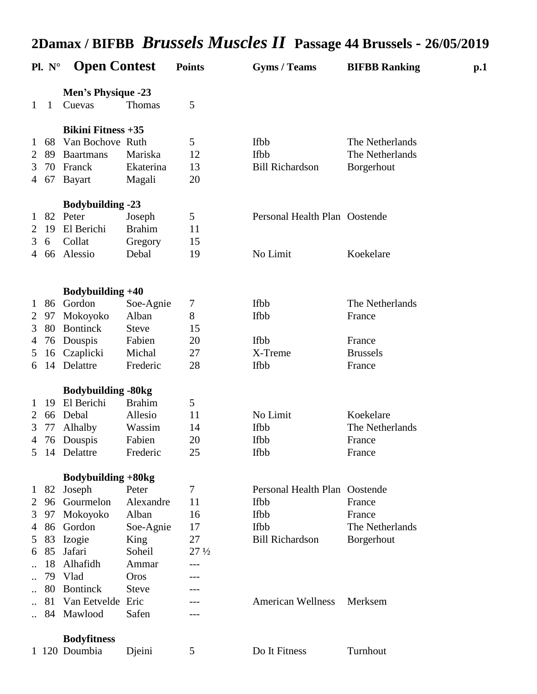|                | $P1. N^{\circ}$ | <b>Open Contest</b>                 |               | <b>Points</b>   | <b>Gyms / Teams</b>           | <b>BIFBB Ranking</b> | $\mathbf{p.1}$ |
|----------------|-----------------|-------------------------------------|---------------|-----------------|-------------------------------|----------------------|----------------|
| 1              | 1               | <b>Men's Physique -23</b><br>Cuevas | <b>Thomas</b> | 5               |                               |                      |                |
|                |                 | <b>Bikini Fitness +35</b>           |               |                 |                               |                      |                |
| $\mathbf{1}$   | 68              | Van Bochove Ruth                    |               | 5               | <b>Ifbb</b>                   | The Netherlands      |                |
| 2              | 89              | <b>Baartmans</b>                    | Mariska       | 12              | <b>Ifbb</b>                   | The Netherlands      |                |
| 3              | 70              | Franck                              | Ekaterina     | 13              | <b>Bill Richardson</b>        | Borgerhout           |                |
| 4              | 67              | <b>Bayart</b>                       | Magali        | 20              |                               |                      |                |
|                |                 | <b>Bodybuilding -23</b>             |               |                 |                               |                      |                |
| $\mathbf{1}$   | 82              | Peter                               | Joseph        | 5               | Personal Health Plan Oostende |                      |                |
| 2              | 19              | El Berichi                          | <b>Brahim</b> | 11              |                               |                      |                |
| 3              | 6               | Collat                              | Gregory       | 15              |                               |                      |                |
| 4              | 66              | Alessio                             | Debal         | 19              | No Limit                      | Koekelare            |                |
|                |                 | Bodybuilding +40                    |               |                 |                               |                      |                |
| 1              | 86              | Gordon                              | Soe-Agnie     | 7               | Ifbb                          | The Netherlands      |                |
| 2              | 97              | Mokoyoko                            | Alban         | 8               | Ifbb                          | France               |                |
| 3              | 80              | <b>Bontinck</b>                     | <b>Steve</b>  | 15              |                               |                      |                |
| 4              | 76              | Douspis                             | Fabien        | 20              | Ifbb                          | France               |                |
| 5              |                 | 16 Czaplicki                        | Michal        | 27              | X-Treme                       | <b>Brussels</b>      |                |
| 6              | 14              | Delattre                            | Frederic      | 28              | Ifbb                          | France               |                |
|                |                 | <b>Bodybuilding -80kg</b>           |               |                 |                               |                      |                |
| 1              | 19              | El Berichi                          | <b>Brahim</b> | 5               |                               |                      |                |
| $\overline{2}$ | 66              | Debal                               | Allesio       | 11              | No Limit                      | Koekelare            |                |
| 3              | 77              | Alhalby                             | Wassim        | 14              | <b>Ifbb</b>                   | The Netherlands      |                |
| 4              | 76              | Douspis                             | Fabien        | 20              | Ifbb                          | France               |                |
| 5              |                 | 14 Delattre                         | Frederic      | 25              | Ifbb                          | France               |                |
|                |                 |                                     |               |                 |                               |                      |                |
|                |                 | Bodybuilding +80kg                  |               |                 |                               |                      |                |
| 1              | 82              | Joseph                              | Peter         | 7               | Personal Health Plan Oostende |                      |                |
| 2              | 96              | Gourmelon                           | Alexandre     | 11              | <b>Ifbb</b>                   | France               |                |
| 3              | 97              | Mokoyoko                            | Alban         | 16              | Ifbb                          | France               |                |
| $\overline{4}$ |                 | 86 Gordon                           | Soe-Agnie     | 17              | Ifbb                          | The Netherlands      |                |
| 5              | 83              | Izogie                              | King          | 27              | <b>Bill Richardson</b>        | Borgerhout           |                |
| 6              | 85              | Jafari                              | Soheil        | $27\frac{1}{2}$ |                               |                      |                |
|                | 18              | Alhafidh                            | Ammar         | ---             |                               |                      |                |
|                | 79              | Vlad                                | Oros          |                 |                               |                      |                |
|                | 80              | <b>Bontinck</b>                     | <b>Steve</b>  |                 |                               |                      |                |
|                | 81              | Van Eetvelde                        | Eric          |                 | <b>American Wellness</b>      | Merksem              |                |
|                | 84              | Mawlood                             | Safen         |                 |                               |                      |                |
|                |                 | <b>Bodyfitness</b>                  |               |                 |                               |                      |                |
|                |                 | 1 120 Doumbia                       | Djeini        | 5               | Do It Fitness                 | Turnhout             |                |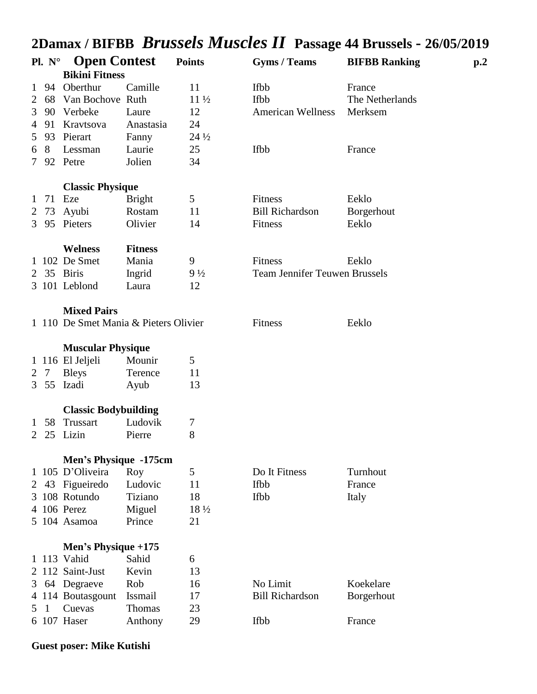|                | $P1. N^{\circ}$ | <b>Open Contest</b>                   |                | <b>Points</b>   | <b>Gyms / Teams</b>                  | <b>BIFBB Ranking</b> | p <sub>0</sub> |
|----------------|-----------------|---------------------------------------|----------------|-----------------|--------------------------------------|----------------------|----------------|
|                |                 | <b>Bikini Fitness</b>                 |                |                 |                                      |                      |                |
| 1              | 94              | Oberthur                              | Camille        | 11              | Ifbb                                 | France               |                |
| 2              | 68              | Van Bochove Ruth                      |                | $11\frac{1}{2}$ | Ifbb                                 | The Netherlands      |                |
| 3              | 90              | Verbeke                               | Laure          | 12              | <b>American Wellness</b>             | Merksem              |                |
| 4              | 91              | Kravtsova                             | Anastasia      | 24              |                                      |                      |                |
| 5              | 93              | Pierart                               | Fanny          | $24\frac{1}{2}$ |                                      |                      |                |
| 6              | 8               | Lessman                               | Laurie         | 25              | Ifbb                                 | France               |                |
| 7              |                 | 92 Petre                              | Jolien         | 34              |                                      |                      |                |
|                |                 | <b>Classic Physique</b>               |                |                 |                                      |                      |                |
| $\perp$        | 71              | Eze                                   | <b>Bright</b>  | 5               | Fitness                              | Eeklo                |                |
| 2              | 73              | Ayubi                                 | Rostam         | 11              | <b>Bill Richardson</b>               | Borgerhout           |                |
| 3              |                 | 95 Pieters                            | Olivier        | 14              | Fitness                              | Eeklo                |                |
|                |                 | <b>Welness</b>                        | <b>Fitness</b> |                 |                                      |                      |                |
|                |                 | 1 102 De Smet                         | Mania          | 9               | Fitness                              | Eeklo                |                |
| 2              |                 | 35 Biris                              | Ingrid         | $9\frac{1}{2}$  | <b>Team Jennifer Teuwen Brussels</b> |                      |                |
|                |                 | 3 101 Leblond                         | Laura          | 12              |                                      |                      |                |
|                |                 | <b>Mixed Pairs</b>                    |                |                 |                                      |                      |                |
|                |                 | 1 110 De Smet Mania & Pieters Olivier |                |                 | Fitness                              | Eeklo                |                |
|                |                 |                                       |                |                 |                                      |                      |                |
|                |                 | <b>Muscular Physique</b>              |                |                 |                                      |                      |                |
|                |                 | 1 116 El Jeljeli                      | Mounir         | 5               |                                      |                      |                |
| $\overline{2}$ | 7               | <b>Bleys</b>                          | Terence        | 11              |                                      |                      |                |
| 3              | 55              | Izadi                                 | Ayub           | 13              |                                      |                      |                |
|                |                 | <b>Classic Bodybuilding</b>           |                |                 |                                      |                      |                |
| 1              | 58              | Trussart                              | Ludovik        | 7               |                                      |                      |                |
| 2              | 25              | Lizin                                 | Pierre         | 8               |                                      |                      |                |
|                |                 |                                       |                |                 |                                      |                      |                |
|                |                 | Men's Physique -175cm                 |                |                 |                                      |                      |                |
|                |                 | 105 D'Oliveira                        | Roy            | 5               | Do It Fitness                        | Turnhout             |                |
| 2              |                 | 43 Figueiredo                         | Ludovic        | 11              | <b>Ifbb</b>                          | France               |                |
|                |                 | 3 108 Rotundo                         | Tiziano        | 18              | Ifbb                                 | Italy                |                |
|                |                 | 4 106 Perez                           | Miguel         | 18 1/2          |                                      |                      |                |
|                |                 | 5 104 Asamoa                          | Prince         | 21              |                                      |                      |                |
|                |                 | Men's Physique $+175$                 |                |                 |                                      |                      |                |
|                |                 | 1 113 Vahid                           | Sahid          | 6               |                                      |                      |                |
|                |                 | 2 112 Saint-Just                      | Kevin          | 13              |                                      |                      |                |
| 3              |                 | 64 Degraeve                           | Rob            | 16              | No Limit                             | Koekelare            |                |
|                |                 | 4 114 Boutasgount                     | Issmail        | 17              | <b>Bill Richardson</b>               | Borgerhout           |                |
| 5              | 1               | Cuevas                                | Thomas         | 23              |                                      |                      |                |
|                |                 | 6 107 Haser                           | Anthony        | 29              | <b>Ifbb</b>                          | France               |                |
|                |                 |                                       |                |                 |                                      |                      |                |

### **Guest poser: Mike Kutishi**